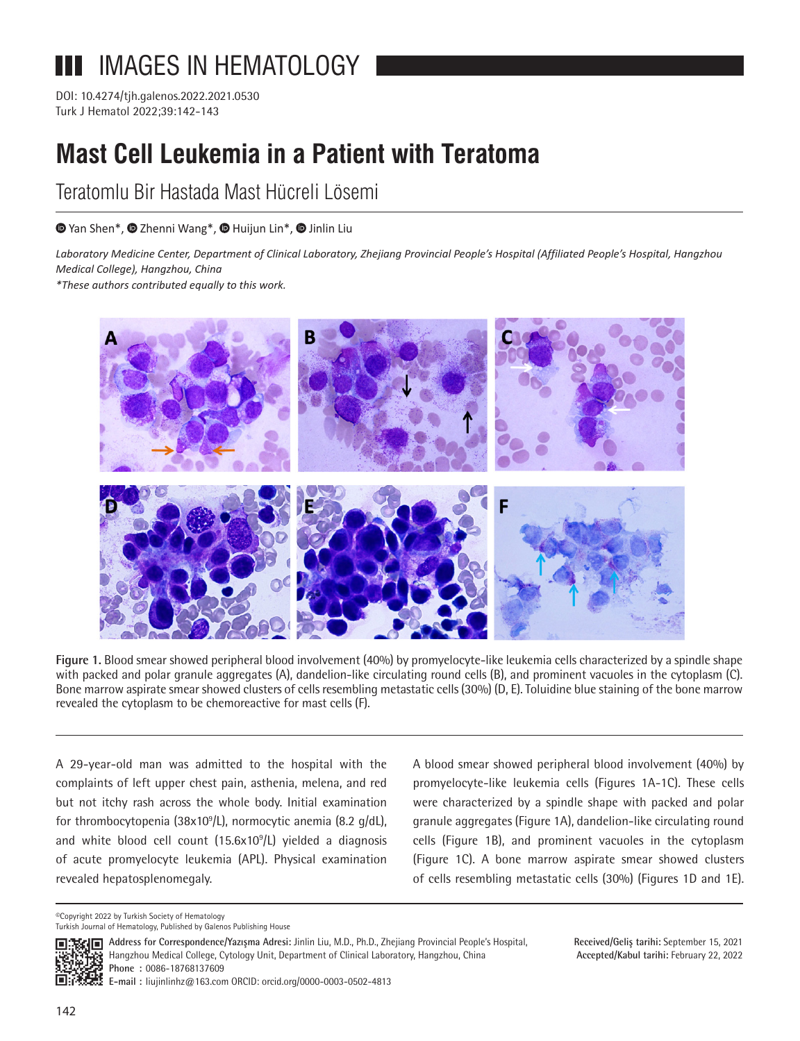# IMAGES IN HEMATOLOGY ПП

Turk J Hematol 2022;39:142-143 DOI: 10.4274/tjh.galenos.2022.2021.0530

# **Mast Cell Leukemia in a Patient with Teratoma**

Teratomlu Bir Hastada Mast Hücreli Lösemi

## $\bullet$ Yan Shen\*[,](https://orcid.org/)  $\bullet$  Zhenni Wang\*,  $\bullet$  Huijun Lin\*,  $\bullet$  Jinlin Liu

*Laboratory Medicine Center, Department of Clinical Laboratory, Zhejiang Provincial People's Hospital (Affiliated People's Hospital, Hangzhou Medical College), Hangzhou, China*

*\*These authors contributed equally to this work.*



**Figure 1.** Blood smear showed peripheral blood involvement (40%) by promyelocyte-like leukemia cells characterized by a spindle shape with packed and polar granule aggregates (A), dandelion-like circulating round cells (B), and prominent vacuoles in the cytoplasm (C). Bone marrow aspirate smear showed clusters of cells resembling metastatic cells (30%) (D, E). Toluidine blue staining of the bone marrow revealed the cytoplasm to be chemoreactive for mast cells (F).

A 29-year-old man was admitted to the hospital with the complaints of left upper chest pain, asthenia, melena, and red but not itchy rash across the whole body. Initial examination for thrombocytopenia (38x10<sup>9</sup>/L), normocytic anemia (8.2 g/dL), and white blood cell count (15.6x10<sup>9</sup>/L) yielded a diagnosis of acute promyelocyte leukemia (APL). Physical examination revealed hepatosplenomegaly.

A blood smear showed peripheral blood involvement (40%) by promyelocyte-like leukemia cells (Figures 1A-1C). These cells were characterized by a spindle shape with packed and polar granule aggregates (Figure 1A), dandelion-like circulating round cells (Figure 1B), and prominent vacuoles in the cytoplasm (Figure 1C). A bone marrow aspirate smear showed clusters of cells resembling metastatic cells (30%) (Figures 1D and 1E).

©Copyright 2022 by Turkish Society of Hematology Turkish Journal of Hematology, Published by Galenos Publishing House



**Address for Correspondence/Yazışma Adresi:** Jinlin Liu, M.D., Ph.D., Zhejiang Provincial People's Hospital, Hangzhou Medical College, Cytology Unit, Department of Clinical Laboratory, Hangzhou, China **Phone :** 0086-18768137609 **E-mail :** liujinlinhz@163.com ORCID: orcid.org/0000-0003-0502-4813

**Received/Geliş tarihi:** September 15, 2021 **Accepted/Kabul tarihi:** February 22, 2022